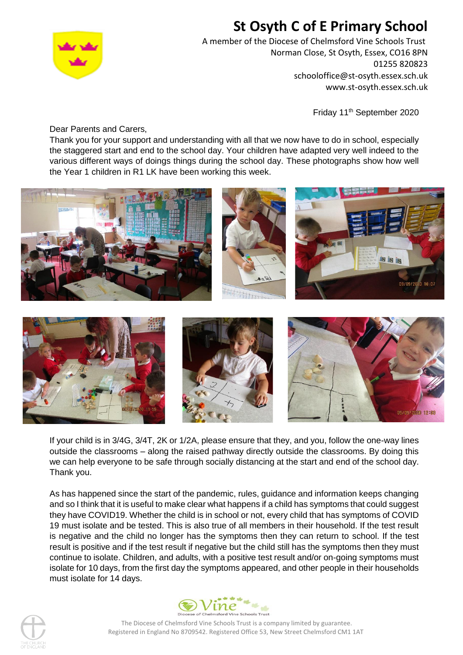## **St Osyth C of E Primary School**



A member of the Diocese of Chelmsford Vine Schools Trust Norman Close, St Osyth, Essex, CO16 8PN 01255 820823 schooloffice@st-osyth.essex.sch.uk www.st-osyth.essex.sch.uk

Friday 11<sup>th</sup> September 2020

Dear Parents and Carers,

Thank you for your support and understanding with all that we now have to do in school, especially the staggered start and end to the school day. Your children have adapted very well indeed to the various different ways of doings things during the school day. These photographs show how well the Year 1 children in R1 LK have been working this week.



If your child is in 3/4G, 3/4T, 2K or 1/2A, please ensure that they, and you, follow the one-way lines outside the classrooms – along the raised pathway directly outside the classrooms. By doing this we can help everyone to be safe through socially distancing at the start and end of the school day. Thank you.

As has happened since the start of the pandemic, rules, guidance and information keeps changing and so I think that it is useful to make clear what happens if a child has symptoms that could suggest they have COVID19. Whether the child is in school or not, every child that has symptoms of COVID 19 must isolate and be tested. This is also true of all members in their household. If the test result is negative and the child no longer has the symptoms then they can return to school. If the test result is positive and if the test result if negative but the child still has the symptoms then they must continue to isolate. Children, and adults, with a positive test result and/or on-going symptoms must isolate for 10 days, from the first day the symptoms appeared, and other people in their households must isolate for 14 days.

![](_page_0_Picture_9.jpeg)

![](_page_0_Picture_10.jpeg)

The Diocese of Chelmsford Vine Schools Trust is a company limited by guarantee. Registered in England No 8709542. Registered Office 53, New Street Chelmsford CM1 1AT